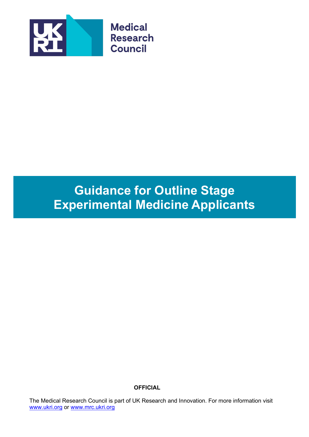

# **Guidance for Outline Stage Experimental Medicine Applicants**

**OFFICIAL**

The Medical Research Council is part of UK Research and Innovation. For more information visit [www.ukri.org](http://www.ukri.org/) or [www.mrc.ukri.org](http://www.mrc.ukri.org/)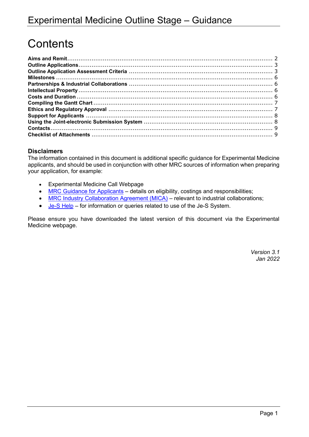# **Contents**

### **Disclaimers**

The information contained in this document is additional specific guidance for Experimental Medicine applicants, and should be used in conjunction with other MRC sources of information when preparing your application, for example:

- Experimental Medicine Call Webpage
- [MRC Guidance for Applicants](https://mrc.ukri.org/funding/guidance-for-applicants/1-who-can-apply-and-how-to-apply/#1.3) details on eligibility, costings and responsibilities;
- [MRC Industry Collaboration Agreement \(MICA\)](https://mrc.ukri.org/innovation/mrc-industry-collaboration-agreement-mica/#Collaboration%20agreement) relevant to industrial collaborations;
- [Je-S Help](https://je-s.rcuk.ac.uk/Handbook/Index.htm) for information or queries related to use of the Je-S System.

Please ensure you have downloaded the latest version of this document via the Experimental Medicine webpage.

> *Version 3.1 Jan 2022*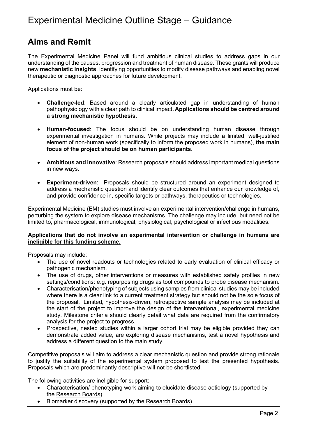### <span id="page-2-0"></span>**Aims and Remit**

The Experimental Medicine Panel will fund ambitious clinical studies to address gaps in our understanding of the causes, progression and treatment of human disease. These grants will produce new **mechanistic insights**, identifying opportunities to modify disease pathways and enabling novel therapeutic or diagnostic approaches for future development.

Applications must be:

- **Challenge-led**: Based around a clearly articulated gap in understanding of human pathophysiology with a clear path to clinical impact**. Applications should be centred around a strong mechanistic hypothesis.**
- **Human-focused**: The focus should be on understanding human disease through experimental investigation in humans. While projects may include a limited, well-justified element of non-human work (specifically to inform the proposed work in humans), **the main focus of the project should be on human participants**.
- **Ambitious and innovative**: Research proposals should address important medical questions in new ways.
- **Experiment-driven**: Proposals should be structured around an experiment designed to address a mechanistic question and identify clear outcomes that enhance our knowledge of, and provide confidence in, specific targets or pathways, therapeutics or technologies.

Experimental Medicine (EM) studies must involve an experimental intervention/challenge in humans, perturbing the system to explore disease mechanisms. The challenge may include, but need not be limited to, pharmacological, immunological, physiological, psychological or infectious modalities.

#### **Applications that do not involve an experimental intervention or challenge in humans are ineligible for this funding scheme.**

Proposals may include:

- The use of novel readouts or technologies related to early evaluation of clinical efficacy or pathogenic mechanism.
- The use of drugs, other interventions or measures with established safety profiles in new settings/conditions: e.g. repurposing drugs as tool compounds to probe disease mechanism.
- Characterisation/phenotyping of subjects using samples from clinical studies may be included where there is a clear link to a current treatment strategy but should not be the sole focus of the proposal. Limited, hypothesis-driven, retrospective sample analysis may be included at the start of the project to improve the design of the interventional, experimental medicine study. Milestone criteria should clearly detail what data are required from the confirmatory analysis for the project to progress.
- Prospective, nested studies within a larger cohort trial may be eligible provided they can demonstrate added value, are exploring disease mechanisms, test a novel hypothesis and address a different question to the main study.

Competitive proposals will aim to address a clear mechanistic question and provide strong rationale to justify the suitability of the experimental system proposed to test the presented hypothesis. Proposals which are predominantly descriptive will not be shortlisted.

The following activities are ineligible for support:

- Characterisation/ phenotyping work aiming to elucidate disease aetiology (supported by the [Research](https://mrc.ukri.org/funding/science-areas/) Boards)
- Biomarker discovery (supported by the [Research](https://mrc.ukri.org/funding/science-areas/) Boards)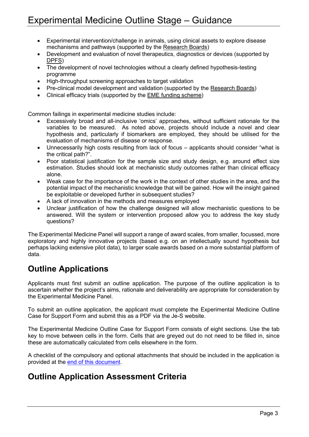- Experimental intervention/challenge in animals, using clinical assets to explore disease mechanisms and pathways (supported by the [Research](https://mrc.ukri.org/funding/science-areas/) Boards)
- Development and evaluation of novel therapeutics, diagnostics or devices (supported by [DPFS\)](https://mrc.ukri.org/funding/browse/biomedical-catalyst-dpfs/biomedical-catalyst-developmental-pathway-funding-scheme-dpfs-outline-jul-2020/)
- The development of novel technologies without a clearly defined hypothesis-testing programme
- High-throughput screening approaches to target validation
- Pre-clinical model development and validation (supported by the [Research](https://mrc.ukri.org/funding/science-areas/) Boards)
- Clinical efficacy trials (supported by the [EME funding scheme\)](https://www.nihr.ac.uk/explore-nihr/funding-programmes/efficacy-and-mechanism-evaluation.htm)

Common failings in experimental medicine studies include:

- Excessively broad and all-inclusive 'omics' approaches, without sufficient rationale for the variables to be measured. As noted above, projects should include a novel and clear hypothesis and, particularly if biomarkers are employed, they should be utilised for the evaluation of mechanisms of disease or response.
- Unnecessarily high costs resulting from lack of focus applicants should consider "what is the critical path?".
- Poor statistical justification for the sample size and study design, e.g. around effect size estimation. Studies should look at mechanistic study outcomes rather than clinical efficacy alone.
- Weak case for the importance of the work in the context of other studies in the area, and the potential impact of the mechanistic knowledge that will be gained. How will the insight gained be exploitable or developed further in subsequent studies?
- A lack of innovation in the methods and measures employed
- Unclear justification of how the challenge designed will allow mechanistic questions to be answered. Will the system or intervention proposed allow you to address the key study questions?

The Experimental Medicine Panel will support a range of award scales, from smaller, focussed, more exploratory and highly innovative projects (based e.g. on an intellectually sound hypothesis but perhaps lacking extensive pilot data), to larger scale awards based on a more substantial platform of data.

# <span id="page-3-0"></span>**Outline Applications**

Applicants must first submit an outline application. The purpose of the outline application is to ascertain whether the project's aims, rationale and deliverability are appropriate for consideration by the Experimental Medicine Panel.

To submit an outline application, the applicant must complete the Experimental Medicine Outline Case for Support Form and submit this as a PDF via the Je-S website.

The Experimental Medicine Outline Case for Support Form consists of eight sections. Use the tab key to move between cells in the form. Cells that are greyed out do not need to be filled in, since these are automatically calculated from cells elsewhere in the form.

A checklist of the compulsory and optional attachments that should be included in the application is provided at the [end of this document.](#page-9-1)

# <span id="page-3-1"></span>**Outline Application Assessment Criteria**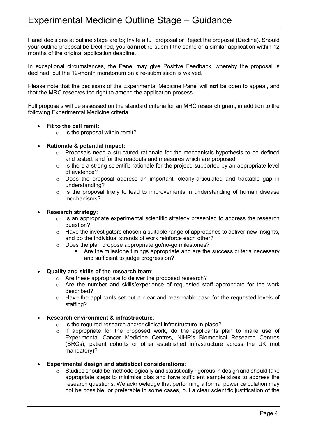Panel decisions at outline stage are to; Invite a full proposal or Reject the proposal (Decline). Should your outline proposal be Declined, you **cannot** re-submit the same or a similar application within 12 months of the original application deadline.

In exceptional circumstances, the Panel may give Positive Feedback, whereby the proposal is declined, but the 12-month moratorium on a re-submission is waived.

Please note that the decisions of the Experimental Medicine Panel will **not** be open to appeal, and that the MRC reserves the right to amend the application process.

Full proposals will be assessed on the standard criteria for an MRC research grant, in addition to the following Experimental Medicine criteria:

### • **Fit to the call remit:**

 $\circ$  Is the proposal within remit?

### • **Rationale & potential impact:**

- $\circ$  Proposals need a structured rationale for the mechanistic hypothesis to be defined and tested, and for the readouts and measures which are proposed.
- $\circ$  Is there a strong scientific rationale for the project, supported by an appropriate level of evidence?
- o Does the proposal address an important, clearly-articulated and tractable gap in understanding?
- $\circ$  Is the proposal likely to lead to improvements in understanding of human disease mechanisms?

### • **Research strategy:**

- o Is an appropriate experimental scientific strategy presented to address the research question?
- o Have the investigators chosen a suitable range of approaches to deliver new insights, and do the individual strands of work reinforce each other?
- o Does the plan propose appropriate go/no-go milestones?
	- **•** Are the milestone timings appropriate and are the success criteria necessary and sufficient to judge progression?

#### • **Quality and skills of the research team**:

- o Are these appropriate to deliver the proposed research?
- o Are the number and skills/experience of requested staff appropriate for the work described?
- o Have the applicants set out a clear and reasonable case for the requested levels of staffing?

### • **Research environment & infrastructure**:

- $\circ$  Is the required research and/or clinical infrastructure in place?<br> $\circ$  If appropriate for the proposed work, do the applicants
- If appropriate for the proposed work, do the applicants plan to make use of Experimental Cancer Medicine Centres, NIHR's Biomedical Research Centres (BRCs), patient cohorts or other established infrastructure across the UK (not mandatory)?
- **Experimental design and statistical considerations**:
	- o Studies should be methodologically and statistically rigorous in design and should take appropriate steps to minimise bias and have sufficient sample sizes to address the research questions. We acknowledge that performing a formal power calculation may not be possible, or preferable in some cases, but a clear scientific justification of the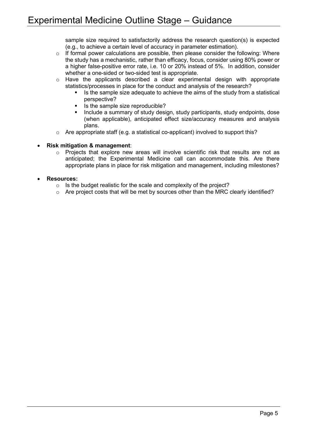sample size required to satisfactorily address the research question(s) is expected (e.g., to achieve a certain level of accuracy in parameter estimation).

- o If formal power calculations are possible, then please consider the following: Where the study has a mechanistic, rather than efficacy, focus, consider using 80% power or a higher false-positive error rate, i.e. 10 or 20% instead of 5%. In addition, consider whether a one-sided or two-sided test is appropriate.
- o Have the applicants described a clear experimental design with appropriate statistics/processes in place for the conduct and analysis of the research?
	- Is the sample size adequate to achieve the aims of the study from a statistical perspective?
	- Is the sample size reproducible?
	- Include a summary of study design, study participants, study endpoints, dose (when applicable), anticipated effect size/accuracy measures and analysis plans.
- $\circ$  Are appropriate staff (e.g. a statistical co-applicant) involved to support this?

### • **Risk mitigation & management**:

o Projects that explore new areas will involve scientific risk that results are not as anticipated; the Experimental Medicine call can accommodate this. Are there appropriate plans in place for risk mitigation and management, including milestones?

### <span id="page-5-0"></span>• **Resources:**

- $\circ$  Is the budget realistic for the scale and complexity of the project?
- $\circ$  Are project costs that will be met by sources other than the MRC clearly identified?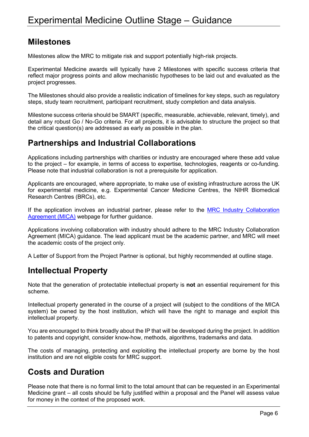### **Milestones**

Milestones allow the MRC to mitigate risk and support potentially high-risk projects.

Experimental Medicine awards will typically have 2 Milestones with specific success criteria that reflect major progress points and allow mechanistic hypotheses to be laid out and evaluated as the project progresses.

The Milestones should also provide a realistic indication of timelines for key steps, such as regulatory steps, study team recruitment, participant recruitment, study completion and data analysis.

Milestone success criteria should be SMART (specific, measurable, achievable, relevant, timely), and detail any robust Go / No-Go criteria. For all projects, it is advisable to structure the project so that the critical question(s) are addressed as early as possible in the plan.

# <span id="page-6-0"></span>**Partnerships and Industrial Collaborations**

Applications including partnerships with charities or industry are encouraged where these add value to the project – for example, in terms of access to expertise, technologies, reagents or co-funding. Please note that industrial collaboration is not a prerequisite for application.

Applicants are encouraged, where appropriate, to make use of existing infrastructure across the UK for experimental medicine, e.g. Experimental Cancer Medicine Centres, the NIHR Biomedical Research Centres (BRCs), etc.

If the application involves an industrial partner, please refer to the MRC Industry Collaboration [Agreement \(MICA\)](https://mrc.ukri.org/innovation/mrc-industry-collaboration-agreement-mica/#Collaboration%20agreement) webpage for further guidance.

Applications involving collaboration with industry should adhere to the MRC Industry Collaboration Agreement (MICA) guidance. The lead applicant must be the academic partner, and MRC will meet the academic costs of the project only.

A Letter of Support from the Project Partner is optional, but highly recommended at outline stage.

# <span id="page-6-1"></span>**Intellectual Property**

Note that the generation of protectable intellectual property is **not** an essential requirement for this scheme.

Intellectual property generated in the course of a project will (subject to the conditions of the MICA system) be owned by the host institution, which will have the right to manage and exploit this intellectual property.

You are encouraged to think broadly about the IP that will be developed during the project. In addition to patents and copyright, consider know-how, methods, algorithms, trademarks and data.

The costs of managing, protecting and exploiting the intellectual property are borne by the host institution and are not eligible costs for MRC support.

# <span id="page-6-2"></span>**Costs and Duration**

Please note that there is no formal limit to the total amount that can be requested in an Experimental Medicine grant – all costs should be fully justified within a proposal and the Panel will assess value for money in the context of the proposed work.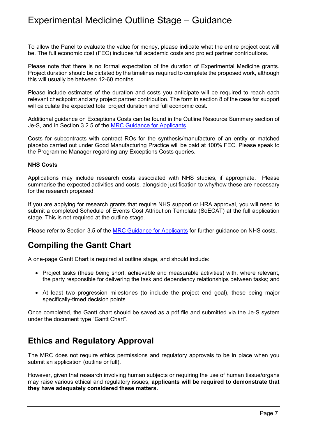To allow the Panel to evaluate the value for money, please indicate what the entire project cost will be. The full economic cost (FEC) includes full academic costs and project partner contributions.

Please note that there is no formal expectation of the duration of Experimental Medicine grants. Project duration should be dictated by the timelines required to complete the proposed work, although this will usually be between 12-60 months.

Please include estimates of the duration and costs you anticipate will be required to reach each relevant checkpoint and any project partner contribution. The form in section 8 of the case for support will calculate the expected total project duration and full economic cost.

Additional guidance on Exceptions Costs can be found in the Outline Resource Summary section of Je-S, and in Section 3.2.5 of the [MRC Guidance for Applicants.](https://mrc.ukri.org/funding/guidance-for-applicants/1-who-can-apply-and-how-to-apply/#1.3)

Costs for subcontracts with contract ROs for the synthesis/manufacture of an entity or matched placebo carried out under Good Manufacturing Practice will be paid at 100% FEC. Please speak to the Programme Manager regarding any Exceptions Costs queries.

### **NHS Costs**

Applications may include research costs associated with NHS studies, if appropriate. Please summarise the expected activities and costs, alongside justification to why/how these are necessary for the research proposed.

If you are applying for research grants that require NHS support or HRA approval, you will need to submit a completed Schedule of Events Cost Attribution Template (SoECAT) at the full application stage. This is not required at the outline stage.

Please refer to Section 3.5 of the [MRC Guidance for Applicants](https://mrc.ukri.org/funding/guidance-for-applicants/1-who-can-apply-and-how-to-apply/#1.3) for further guidance on NHS costs.

### <span id="page-7-0"></span>**Compiling the Gantt Chart**

A one-page Gantt Chart is required at outline stage, and should include:

- Project tasks (these being short, achievable and measurable activities) with, where relevant, the party responsible for delivering the task and dependency relationships between tasks; and
- At least two progression milestones (to include the project end goal), these being major specifically-timed decision points.

Once completed, the Gantt chart should be saved as a pdf file and submitted via the Je-S system under the document type "Gantt Chart".

### <span id="page-7-1"></span>**Ethics and Regulatory Approval**

The MRC does not require ethics permissions and regulatory approvals to be in place when you submit an application (outline or full).

However, given that research involving human subjects or requiring the use of human tissue/organs may raise various ethical and regulatory issues, **applicants will be required to demonstrate that they have adequately considered these matters.**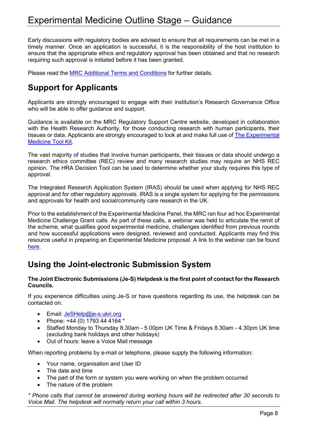Early discussions with regulatory bodies are advised to ensure that all requirements can be met in a timely manner. Once an application is successful, it is the responsibility of the host institution to ensure that the appropriate ethics and regulatory approval has been obtained and that no research requiring such approval is initiated before it has been granted.

Please read the MRC Additional [Terms and Conditions](https://mrc.ukri.org/documents/pdf/mrc-additional-terms-and-conditions/) for further details.

# <span id="page-8-0"></span>**Support for Applicants**

Applicants are strongly encouraged to engage with their institution's Research Governance Office who will be able to offer guidance and support.

Guidance is available on the MRC Regulatory Support Centre website, developed in collaboration with the Health Research Authority, for those conducting research with human participants, their tissues or data. Applicants are strongly encouraged to look at and make full use of [The Experimental](http://www.em-toolkit.org/#/)  [Medicine Tool Kit.](http://www.em-toolkit.org/#/)

The vast majority of studies that involve human participants, their tissues or data should undergo a research ethics committee (REC) review and many research studies may require an NHS REC opinion. The HRA Decision Tool can be used to determine whether your study requires this type of approval.

The Integrated Research Application System (IRAS) should be used when applying for NHS REC approval and for other regulatory approvals. IRAS is a single system for applying for the permissions and approvals for health and social/community care research in the UK.

Prior to the establishment of the Experimental Medicine Panel, the MRC ran four ad hoc Experimental Medicine Challenge Grant calls. As part of these calls, a webinar was held to articulate the remit of the scheme, what qualifies good experimental medicine, challenges identified from previous rounds and how successful applications were designed, reviewed and conducted. Applicants may find this resource useful in preparing an Experimental Medicine proposal. A link to the webinar can be found [here.](https://www.youtube.com/watch?v=mvL-_yOv34A&t=268s)

# <span id="page-8-1"></span>**Using the Joint-electronic Submission System**

### **The Joint Electronic Submissions (Je-S) Helpdesk is the first point of contact for the Research Councils.**

If you experience difficulties using Je-S or have questions regarding its use, the helpdesk can be contacted on:

- Email: [JeSHelp@je-s.ukri.org](mailto:JeSHelp@je-s.ukri.org)
- Phone:  $+44$  (0) 1793 44 4164  $*$
- Staffed Monday to Thursday 8.30am 5.00pm UK Time & Fridays 8.30am 4.30pm UK time (excluding bank holidays and other holidays)
- Out of hours: leave a Voice Mail message

When reporting problems by e-mail or telephone, please supply the following information:

- Your name, organisation and User ID
- The date and time
- The part of the form or system you were working on when the problem occurred
- The nature of the problem

*\* Phone calls that cannot be answered during working hours will be redirected after 30 seconds to Voice Mail. The helpdesk will normally return your call within 3 hours.*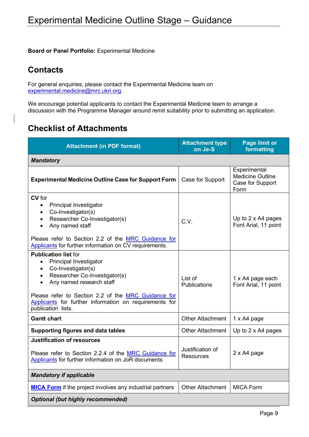**Board or Panel Portfolio:** Experimental Medicine

# <span id="page-9-0"></span>**Contacts**

For general enquiries, please contact the Experimental Medicine team on [experimental.medicine@mrc.ukri.org.](mailto:experimental.medicine@mrc.ukri.org)

We encourage potential applicants to contact the Experimental Medicine team to arrange a discussion with the Programme Manager around remit suitability prior to submitting an application.

# <span id="page-9-1"></span>**Checklist of Attachments**

| <b>Attachment (in PDF format)</b>                                                                                                                                                                                                                                                                                                          | <b>Attachment type</b><br>on Je-S    | <b>Page limit or</b><br>formatting                                  |  |  |
|--------------------------------------------------------------------------------------------------------------------------------------------------------------------------------------------------------------------------------------------------------------------------------------------------------------------------------------------|--------------------------------------|---------------------------------------------------------------------|--|--|
| <b>Mandatory</b>                                                                                                                                                                                                                                                                                                                           |                                      |                                                                     |  |  |
| <b>Experimental Medicine Outline Case for Support Form</b>                                                                                                                                                                                                                                                                                 | Case for Support                     | Experimental<br><b>Medicine Outline</b><br>Case for Support<br>Form |  |  |
| <b>CV</b> for<br><b>Principal Investigator</b><br>$\bullet$<br>Co-Investigator(s)<br>$\bullet$<br>Researcher Co-Investigator(s)<br>$\bullet$<br>Any named staff<br>$\bullet$<br>Please refer to Section 2.2 of the MRC Guidance for<br>Applicants for further information on CV requirements.                                              | C.V.                                 | Up to 2 x A4 pages<br>Font Arial, 11 point                          |  |  |
| <b>Publication list for</b><br><b>Principal Investigator</b><br>$\bullet$<br>Co-Investigator(s)<br>$\bullet$<br>Researcher Co-Investigator(s)<br>$\bullet$<br>Any named research staff<br>$\bullet$<br>Please refer to Section 2.2 of the MRC Guidance for<br>Applicants for further information on requirements for<br>publication lists. | List of<br><b>Publications</b>       | 1 x A4 page each<br>Font Arial, 11 point                            |  |  |
| <b>Gantt chart</b>                                                                                                                                                                                                                                                                                                                         | <b>Other Attachment</b>              | 1 x A4 page                                                         |  |  |
| <b>Supporting figures and data tables</b>                                                                                                                                                                                                                                                                                                  | <b>Other Attachment</b>              | Up to $2 \times A4$ pages                                           |  |  |
| <b>Justification of resources</b><br>Please refer to Section 2.2.4 of the MRC Guidance for<br>Applicants for further information on JoR documents                                                                                                                                                                                          | Justification of<br><b>Resources</b> | 2 x A4 page                                                         |  |  |
| <b>Mandatory if applicable</b>                                                                                                                                                                                                                                                                                                             |                                      |                                                                     |  |  |
| <b>MICA Form</b> if the project involves any industrial partners                                                                                                                                                                                                                                                                           | <b>Other Attachment</b>              | <b>MICA Form</b>                                                    |  |  |
| <b>Optional (but highly recommended)</b>                                                                                                                                                                                                                                                                                                   |                                      |                                                                     |  |  |